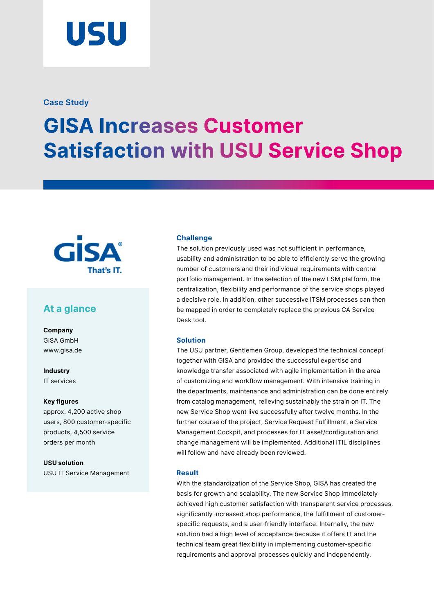# USU

#### **Case Study**

## **GISA Increases Customer Satisfaction with USU Service Shop**



### **At a glance**

**Company**  GISA GmbH [www.gisa.de](https://www.gisa.de/en/)

**Industry**  IT services

#### **Key figures**

approx. 4,200 active shop users, 800 customer-specific products, 4,500 service orders per month

**USU solution** USU IT Service Management

#### **Challenge**

The solution previously used was not sufficient in performance, usability and administration to be able to efficiently serve the growing number of customers and their individual requirements with central portfolio management. In the selection of the new ESM platform, the centralization, flexibility and performance of the service shops played a decisive role. In addition, other successive ITSM processes can then be mapped in order to completely replace the previous CA Service Desk tool.

#### **Solution**

The USU partner, Gentlemen Group, developed the technical concept together with GISA and provided the successful expertise and knowledge transfer associated with agile implementation in the area of customizing and workflow management. With intensive training in the departments, maintenance and administration can be done entirely from catalog management, relieving sustainably the strain on IT. The new Service Shop went live successfully after twelve months. In the further course of the project, Service Request Fulfillment, a Service Management Cockpit, and processes for IT asset/configuration and change management will be implemented. Additional ITIL disciplines will follow and have already been reviewed.

#### **Result**

With the standardization of the Service Shop, GISA has created the basis for growth and scalability. The new Service Shop immediately achieved high customer satisfaction with transparent service processes, significantly increased shop performance, the fulfillment of customerspecific requests, and a user-friendly interface. Internally, the new solution had a high level of acceptance because it offers IT and the technical team great flexibility in implementing customer-specific requirements and approval processes quickly and independently.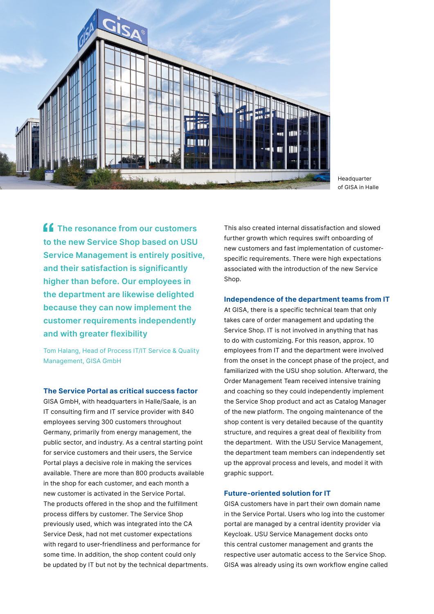

Headquarter of GISA in Halle

**The resonance from our customers to the new Service Shop based on USU Service Management is entirely positive, and their satisfaction is significantly higher than before. Our employees in the department are likewise delighted because they can now implement the customer requirements independently and with greater flexibility**

Tom Halang, Head of Process IT/IT Service & Quality Management, GISA GmbH

#### **The Service Portal as critical success factor**

GISA GmbH, with headquarters in Halle/Saale, is an IT consulting firm and IT service provider with 840 employees serving 300 customers throughout Germany, primarily from energy management, the public sector, and industry. As a central starting point for service customers and their users, the Service Portal plays a decisive role in making the services available. There are more than 800 products available in the shop for each customer, and each month a new customer is activated in the Service Portal. The products offered in the shop and the fulfillment process differs by customer. The Service Shop previously used, which was integrated into the CA Service Desk, had not met customer expectations with regard to user-friendliness and performance for some time. In addition, the shop content could only be updated by IT but not by the technical departments. This also created internal dissatisfaction and slowed further growth which requires swift onboarding of new customers and fast implementation of customerspecific requirements. There were high expectations associated with the introduction of the new Service Shop.

#### **Independence of the department teams from IT**

At GISA, there is a specific technical team that only takes care of order management and updating the Service Shop. IT is not involved in anything that has to do with customizing. For this reason, approx. 10 employees from IT and the department were involved from the onset in the concept phase of the project, and familiarized with the USU shop solution. Afterward, the Order Management Team received intensive training and coaching so they could independently implement the Service Shop product and act as Catalog Manager of the new platform. The ongoing maintenance of the shop content is very detailed because of the quantity structure, and requires a great deal of flexibility from the department. With the USU Service Management, the department team members can independently set up the approval process and levels, and model it with graphic support.

#### **Future-oriented solution for IT**

GISA customers have in part their own domain name in the Service Portal. Users who log into the customer portal are managed by a central identity provider via Keycloak. USU Service Management docks onto this central customer management and grants the respective user automatic access to the Service Shop. GISA was already using its own workflow engine called